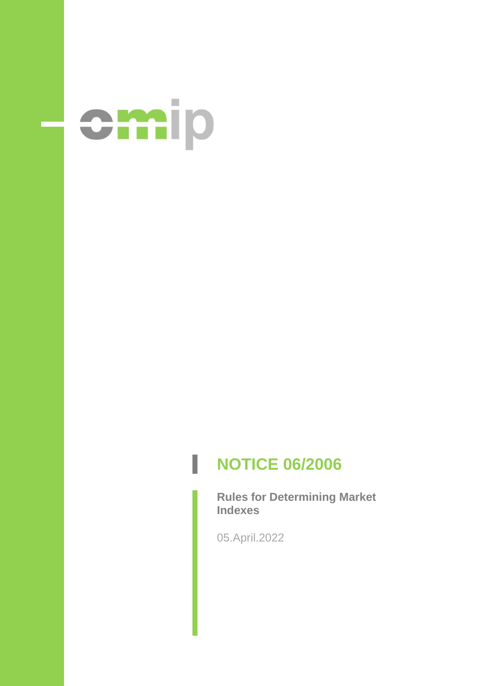

# **NOTICE 06/2006**

**Rules for Determining Market Indexes**

05.April.2022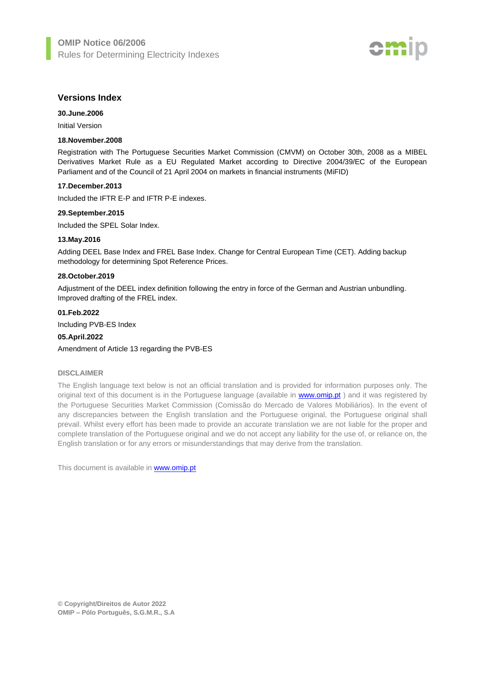

## **Versions Index**

**30.June.2006**

Initial Version

## **18.November.2008**

Registration with The Portuguese Securities Market Commission (CMVM) on October 30th, 2008 as a MIBEL Derivatives Market Rule as a EU Regulated Market according to Directive 2004/39/EC of the European Parliament and of the Council of 21 April 2004 on markets in financial instruments (MiFID)

#### **17.December.2013**

Included the IFTR E-P and IFTR P-E indexes.

## **29.September.2015**

Included the SPEL Solar Index.

## **13.May.2016**

Adding DEEL Base Index and FREL Base Index. Change for Central European Time (CET). Adding backup methodology for determining Spot Reference Prices.

## **28.October.2019**

Adjustment of the DEEL index definition following the entry in force of the German and Austrian unbundling. Improved drafting of the FREL index.

## **01.Feb.2022**

Including PVB-ES Index

## **05.April.2022**

Amendment of Article 13 regarding the PVB-ES

## **DISCLAIMER**

The English language text below is not an official translation and is provided for information purposes only. The original text of this document is in the Portuguese language (available in [www.omip.pt](http://www.omip.pt/)) and it was registered by the Portuguese Securities Market Commission (Comissão do Mercado de Valores Mobiliários). In the event of any discrepancies between the English translation and the Portuguese original, the Portuguese original shall prevail. Whilst every effort has been made to provide an accurate translation we are not liable for the proper and complete translation of the Portuguese original and we do not accept any liability for the use of, or reliance on, the English translation or for any errors or misunderstandings that may derive from the translation.

This document is available in **www.omip.pt**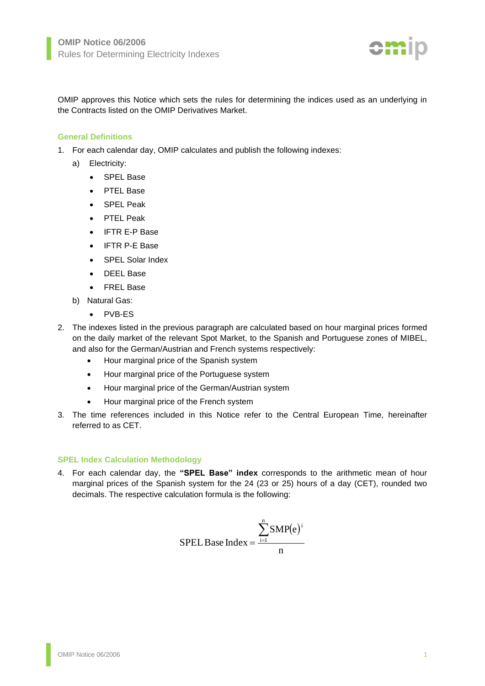

OMIP approves this Notice which sets the rules for determining the indices used as an underlying in the Contracts listed on the OMIP Derivatives Market.

## **General Definitions**

- 1. For each calendar day, OMIP calculates and publish the following indexes:
	- a) Electricity:
		- SPEL Base
		- PTEL Base
		- SPEL Peak
		- PTEL Peak
		- IFTR E-P Base
		- IFTR P-E Base
		- SPEL Solar Index
		- DEEL Base
		- FREL Base
	- b) Natural Gas:
		- PVB-ES
- 2. The indexes listed in the previous paragraph are calculated based on hour marginal prices formed on the daily market of the relevant Spot Market, to the Spanish and Portuguese zones of MIBEL, and also for the German/Austrian and French systems respectively:
	- Hour marginal price of the Spanish system
	- Hour marginal price of the Portuguese system
	- Hour marginal price of the German/Austrian system
	- Hour marginal price of the French system
- 3. The time references included in this Notice refer to the Central European Time, hereinafter referred to as CET.

## **SPEL Index Calculation Methodology**

4. For each calendar day, the **"SPEL Base" index** corresponds to the arithmetic mean of hour marginal prices of the Spanish system for the 24 (23 or 25) hours of a day (CET), rounded two decimals. The respective calculation formula is the following:

$$
SPEL\text{Base Index} = \frac{\sum_{i=1}^{n} SMP(e)^{i}}{n}
$$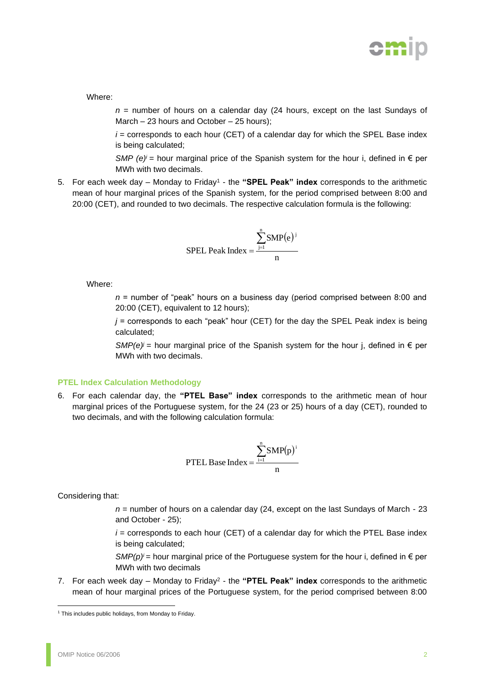

Where:

*n* = number of hours on a calendar day (24 hours, except on the last Sundays of March – 23 hours and October – 25 hours);

 $i =$  corresponds to each hour (CET) of a calendar day for which the SPEL Base index is being calculated;

*SMP (e)<sup>i</sup>* = hour marginal price of the Spanish system for the hour i, defined in  $\epsilon$  per MWh with two decimals.

5. For each week day – Monday to Friday<sup>1</sup> - the "SPEL Peak" index corresponds to the arithmetic mean of hour marginal prices of the Spanish system, for the period comprised between 8:00 and 20:00 (CET), and rounded to two decimals. The respective calculation formula is the following:

$$
SPEL \text{ Peak Index} = \frac{\sum_{j=1}^{n} SMP(e)^{j}}{n}
$$

Where:

*n* = number of "peak" hours on a business day (period comprised between 8:00 and 20:00 (CET), equivalent to 12 hours);

 $j$  = corresponds to each "peak" hour (CET) for the day the SPEL Peak index is being calculated;

*SMP(e)*<sup> $j$ </sup> = hour marginal price of the Spanish system for the hour *i*, defined in  $\epsilon$  per MWh with two decimals.

## **PTEL Index Calculation Methodology**

6. For each calendar day, the **"PTEL Base" index** corresponds to the arithmetic mean of hour marginal prices of the Portuguese system, for the 24 (23 or 25) hours of a day (CET), rounded to two decimals, and with the following calculation formula:

$$
PTEL Base Index = \frac{\sum_{i=1}^{n} SMP(p)^{i}}{n}
$$

Considering that:

*n* = number of hours on a calendar day (24, except on the last Sundays of March - 23 and October - 25);

 $i =$  corresponds to each hour (CET) of a calendar day for which the PTEL Base index is being calculated;

*SMP(p)<sup>i</sup>* = hour marginal price of the Portuguese system for the hour *i*, defined in  $\epsilon$  per MWh with two decimals

7. For each week day – Monday to Friday<sup>2</sup> - the "PTEL Peak" index corresponds to the arithmetic mean of hour marginal prices of the Portuguese system, for the period comprised between 8:00

<sup>&</sup>lt;sup>1</sup> This includes public holidays, from Monday to Friday.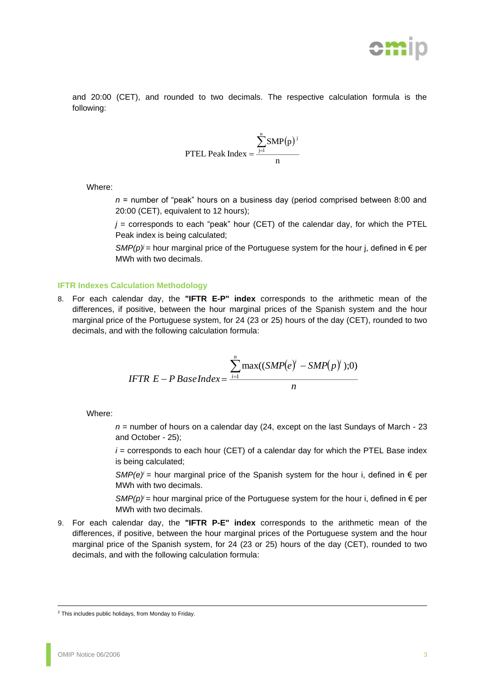

and 20:00 (CET), and rounded to two decimals. The respective calculation formula is the following:

$$
PTEL Peak Index = \frac{\sum_{j=1}^{n} SMP(p)^{j}}{n}
$$

Where:

*n* = number of "peak" hours on a business day (period comprised between 8:00 and 20:00 (CET), equivalent to 12 hours);

 $j$  = corresponds to each "peak" hour (CET) of the calendar day, for which the PTEL Peak index is being calculated;

*SMP(p)<sup>j</sup>* = hour marginal price of the Portuguese system for the hour j, defined in  $\epsilon$  per MWh with two decimals.

#### **IFTR Indexes Calculation Methodology**

8. For each calendar day, the **"IFTR E-P" index** corresponds to the arithmetic mean of the differences, if positive, between the hour marginal prices of the Spanish system and the hour marginal price of the Portuguese system, for 24 (23 or 25) hours of the day (CET), rounded to two decimals, and with the following calculation formula:

$$
IFTR E-P BaseIndex = \frac{\sum_{i=1}^{n} \max((SMP(e)^{i} - SMP(p)^{i}));0)}{n}
$$

Where:

*n* = number of hours on a calendar day (24, except on the last Sundays of March - 23 and October - 25);

 $i =$  corresponds to each hour (CET) of a calendar day for which the PTEL Base index is being calculated;

*SMP(e)<sup>* $i$ *</sup>* = hour marginal price of the Spanish system for the hour i, defined in  $\epsilon$  per MWh with two decimals.

*SMP(p)<sup>i</sup>* = hour marginal price of the Portuguese system for the hour i, defined in  $\epsilon$  per MWh with two decimals.

9. For each calendar day, the **"IFTR P-E" index** corresponds to the arithmetic mean of the differences, if positive, between the hour marginal prices of the Portuguese system and the hour marginal price of the Spanish system, for 24 (23 or 25) hours of the day (CET), rounded to two decimals, and with the following calculation formula:

<sup>2</sup> This includes public holidays, from Monday to Friday.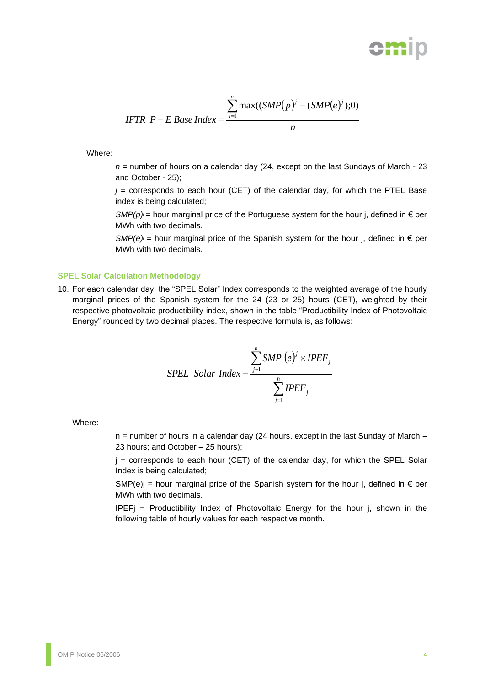

$$
IFTP \quad P-E \text{ Base Index} = \frac{\sum_{j=1}^{n} \max((SMP(p)^{j} - (SMP(e)^{j}));0)}{n}
$$

Where:

*n* = number of hours on a calendar day (24, except on the last Sundays of March - 23 and October - 25);

 $j$  = corresponds to each hour (CET) of the calendar day, for which the PTEL Base index is being calculated;

*SMP(p)<sup>j</sup>* = hour marginal price of the Portuguese system for the hour *j*, defined in  $\epsilon$  per MWh with two decimals.

*SMP(e)<sup>j</sup>* = hour marginal price of the Spanish system for the hour *j*, defined in  $\epsilon$  per MWh with two decimals.

## **SPEL Solar Calculation Methodology**

10. For each calendar day, the "SPEL Solar" Index corresponds to the weighted average of the hourly marginal prices of the Spanish system for the 24 (23 or 25) hours (CET), weighted by their respective photovoltaic productibility index, shown in the table "Productibility Index of Photovoltaic Energy" rounded by two decimal places. The respective formula is, as follows:

SPEL Solar Index = 
$$
\frac{\sum_{j=1}^{n} SMP(e)^{j} \times IPEF_{j}}{\sum_{j=1}^{n} IPEF_{j}}
$$

Where:

 $n =$  number of hours in a calendar day (24 hours, except in the last Sunday of March  $-$ 23 hours; and October – 25 hours);

 $j =$  corresponds to each hour (CET) of the calendar day, for which the SPEL Solar Index is being calculated;

SMP(e)j = hour marginal price of the Spanish system for the hour j, defined in  $\epsilon$  per MWh with two decimals.

IPEFj = Productibility Index of Photovoltaic Energy for the hour j, shown in the following table of hourly values for each respective month.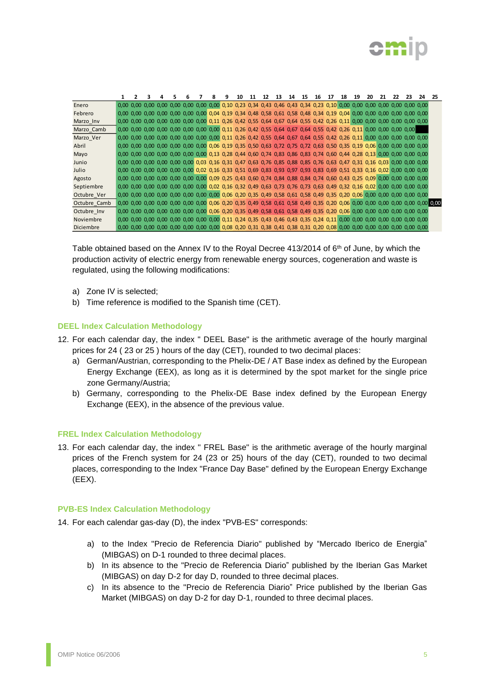

|              |  |  |  |  | q | 10                                                                                                                      | 11 | 12 | 13 | 14 | 15 | 16 | 17 | 18 | 19 | 20 | 21 | 22 | 23 | 24 | 25 |
|--------------|--|--|--|--|---|-------------------------------------------------------------------------------------------------------------------------|----|----|----|----|----|----|----|----|----|----|----|----|----|----|----|
| Enero        |  |  |  |  |   |                                                                                                                         |    |    |    |    |    |    |    |    |    |    |    |    |    |    |    |
| Febrero      |  |  |  |  |   | 0,00 0,00 0,00 0,00 0,00 0,00 0,00 0,04 0,19 0,34 0,48 0,58 0,61 0,58 0,48 0,34 0,19 0,04 0,00 0,00 0,00 0,00 0,00 0,00 |    |    |    |    |    |    |    |    |    |    |    |    |    |    |    |
| Marzo_Inv    |  |  |  |  |   | 0,00 0,00 0,00 0,00 0,00 0,00 0,00 0,11 0,26 0,42 0,55 0,64 0,67 0,64 0,55 0,42 0,26 0,11 0,00 0,00 0,00 0,00 0,00 0,00 |    |    |    |    |    |    |    |    |    |    |    |    |    |    |    |
| Marzo_Camb   |  |  |  |  |   | 0,00 0,00 0,00 0,00 0,00 0,00 0,00 0,00 0,11 0,26 0,42 0,55 0,64 0,67 0,64 0,55 0,42 0,26 0,11 0,00 0,00 0,00 0,00      |    |    |    |    |    |    |    |    |    |    |    |    |    |    |    |
| Marzo Ver    |  |  |  |  |   | 0,00 0,00 0,00 0,00 0,00 0,00 0,00 0,00 0,11 0,26 0,42 0,55 0,64 0,67 0,64 0,55 0,42 0,26 0,11 0,00 0,00 0,00 0,00 0,00 |    |    |    |    |    |    |    |    |    |    |    |    |    |    |    |
| Abril        |  |  |  |  |   | 0,00 0,00 0,00 0,00 0,00 0,00 0,00 0,06 0,19 0,35 0,50 0,63 0,72 0,75 0,72 0,63 0,50 0,35 0,19 0,06 0,00 0,00 0,00 0,00 |    |    |    |    |    |    |    |    |    |    |    |    |    |    |    |
| Mayo         |  |  |  |  |   | 0,00 0,00 0,00 0,00 0,00 0,00 0,00 0,13 0,28 0,44 0,60 0,74 0,83 0,86 0,83 0,74 0,60 0,44 0,28 0,13 0,00 0,00 0,00 0,00 |    |    |    |    |    |    |    |    |    |    |    |    |    |    |    |
| Junio        |  |  |  |  |   | 0,00 0,00 0,00 0,00 0,00 0,00 0,03 0,16 0,31 0,47 0,63 0,76 0,85 0,88 0,85 0,76 0,63 0,47 0,31 0,16 0,03 0,00 0,00 0,00 |    |    |    |    |    |    |    |    |    |    |    |    |    |    |    |
| Julio        |  |  |  |  |   | 0,00 0,00 0,00 0,00 0,00 0,00 0,02 0,16 0,33 0,51 0,69 0,83 0,93 0,97 0,93 0,83 0,69 0,51 0,33 0,16 0,02 0,00 0,00 0,00 |    |    |    |    |    |    |    |    |    |    |    |    |    |    |    |
| Agosto       |  |  |  |  |   | 0,00 0,00 0,00 0,00 0,00 0,00 0,00 0,09 0,25 0,43 0,60 0,74 0,84 0,88 0,84 0,74 0,60 0,43 0,25 0,09 0,00 0,00 0,00 0,00 |    |    |    |    |    |    |    |    |    |    |    |    |    |    |    |
| Septiembre   |  |  |  |  |   | 0,00 0,00 0,00 0,00 0,00 0,00 0,00 0,02 0,16 0,32 0,49 0,63 0,73 0,76 0,73 0,63 0,49 0,32 0,16 0,02 0,00 0,00 0,00 0,00 |    |    |    |    |    |    |    |    |    |    |    |    |    |    |    |
| Octubre_Ver  |  |  |  |  |   | 0,00 0,00 0,00 0,00 0,00 0,00 0,00 0,00 0,06 0,20 0,35 0,49 0,58 0,61 0,58 0,49 0,35 0,20 0,06 0,00 0,00 0,00 0,00 0,00 |    |    |    |    |    |    |    |    |    |    |    |    |    |    |    |
| Octubre Camb |  |  |  |  |   |                                                                                                                         |    |    |    |    |    |    |    |    |    |    |    |    |    |    |    |
| Octubre_Inv  |  |  |  |  |   |                                                                                                                         |    |    |    |    |    |    |    |    |    |    |    |    |    |    |    |
| Noviembre    |  |  |  |  |   |                                                                                                                         |    |    |    |    |    |    |    |    |    |    |    |    |    |    |    |
| Diciembre    |  |  |  |  |   |                                                                                                                         |    |    |    |    |    |    |    |    |    |    |    |    |    |    |    |

Table obtained based on the Annex IV to the Royal Decree 413/2014 of 6<sup>th</sup> of June, by which the production activity of electric energy from renewable energy sources, cogeneration and waste is regulated, using the following modifications:

- a) Zone IV is selected;
- b) Time reference is modified to the Spanish time (CET).

## **DEEL Index Calculation Methodology**

- 12. For each calendar day, the index " DEEL Base" is the arithmetic average of the hourly marginal prices for 24 ( 23 or 25 ) hours of the day (CET), rounded to two decimal places:
	- a) German/Austrian, corresponding to the Phelix-DE / AT Base index as defined by the European Energy Exchange (EEX), as long as it is determined by the spot market for the single price zone Germany/Austria;
	- b) Germany, corresponding to the Phelix-DE Base index defined by the European Energy Exchange (EEX), in the absence of the previous value.

## **FREL Index Calculation Methodology**

13. For each calendar day, the index " FREL Base" is the arithmetic average of the hourly marginal prices of the French system for 24 (23 or 25) hours of the day (CET), rounded to two decimal places, corresponding to the Index "France Day Base" defined by the European Energy Exchange (EEX).

## **PVB-ES Index Calculation Methodology**

- 14. For each calendar gas-day (D), the index "PVB-ES" corresponds:
	- a) to the Index "Precio de Referencia Diario" published by "Mercado Iberico de Energia" (MIBGAS) on D-1 rounded to three decimal places.
	- b) In its absence to the "Precio de Referencia Diario" published by the Iberian Gas Market (MIBGAS) on day D-2 for day D, rounded to three decimal places.
	- c) In its absence to the "Precio de Referencia Diario" Price published by the Iberian Gas Market (MIBGAS) on day D-2 for day D-1, rounded to three decimal places.